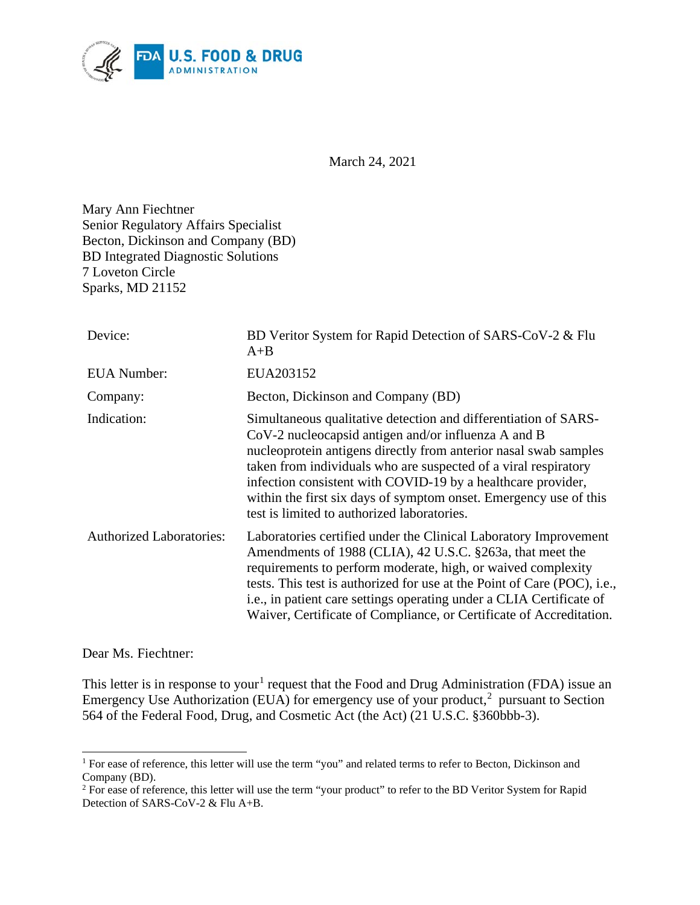

March 24, 2021

Mary Ann Fiechtner Senior Regulatory Affairs Specialist Becton, Dickinson and Company (BD) BD Integrated Diagnostic Solutions 7 Loveton Circle Sparks, MD 21152

| Device:                         | BD Veritor System for Rapid Detection of SARS-CoV-2 & Flu<br>$A + B$                                                                                                                                                                                                                                                                                                                                                                                |
|---------------------------------|-----------------------------------------------------------------------------------------------------------------------------------------------------------------------------------------------------------------------------------------------------------------------------------------------------------------------------------------------------------------------------------------------------------------------------------------------------|
| <b>EUA</b> Number:              | EUA203152                                                                                                                                                                                                                                                                                                                                                                                                                                           |
| Company:                        | Becton, Dickinson and Company (BD)                                                                                                                                                                                                                                                                                                                                                                                                                  |
| Indication:                     | Simultaneous qualitative detection and differentiation of SARS-<br>$CoV-2$ nucleocapsid antigen and/or influenza A and B<br>nucleoprotein antigens directly from anterior nasal swab samples<br>taken from individuals who are suspected of a viral respiratory<br>infection consistent with COVID-19 by a healthcare provider,<br>within the first six days of symptom onset. Emergency use of this<br>test is limited to authorized laboratories. |
| <b>Authorized Laboratories:</b> | Laboratories certified under the Clinical Laboratory Improvement<br>Amendments of 1988 (CLIA), 42 U.S.C. §263a, that meet the<br>requirements to perform moderate, high, or waived complexity<br>tests. This test is authorized for use at the Point of Care (POC), i.e.,<br>i.e., in patient care settings operating under a CLIA Certificate of<br>Waiver, Certificate of Compliance, or Certificate of Accreditation.                            |

Dear Ms. Fiechtner:

This letter is in response to your<sup>[1](#page-0-0)</sup> request that the Food and Drug Administration (FDA) issue an Emergency Use Authorization (EUA) for emergency use of your product, $<sup>2</sup>$  $<sup>2</sup>$  $<sup>2</sup>$  pursuant to Section</sup> 564 of the Federal Food, Drug, and Cosmetic Act (the Act) (21 U.S.C. §360bbb-3).

<span id="page-0-0"></span><sup>&</sup>lt;sup>1</sup> For ease of reference, this letter will use the term "you" and related terms to refer to Becton, Dickinson and Company (BD).

<span id="page-0-1"></span><sup>&</sup>lt;sup>2</sup> For ease of reference, this letter will use the term "your product" to refer to the BD Veritor System for Rapid Detection of SARS-CoV-2 & Flu A+B.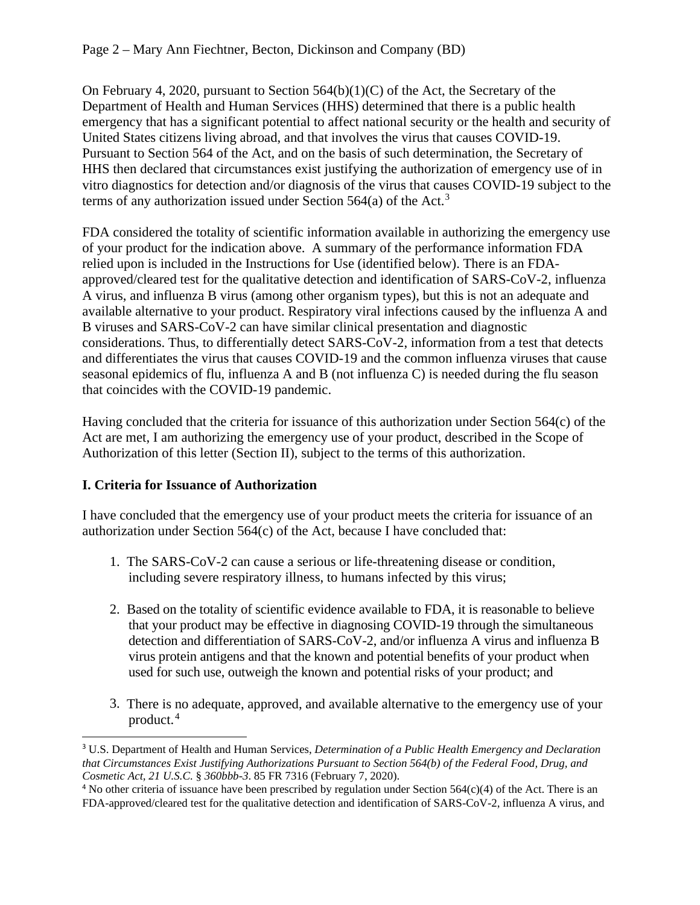On February 4, 2020, pursuant to Section  $564(b)(1)(C)$  of the Act, the Secretary of the Department of Health and Human Services (HHS) determined that there is a public health emergency that has a significant potential to affect national security or the health and security of United States citizens living abroad, and that involves the virus that causes COVID-19. Pursuant to Section 564 of the Act, and on the basis of such determination, the Secretary of HHS then declared that circumstances exist justifying the authorization of emergency use of in vitro diagnostics for detection and/or diagnosis of the virus that causes COVID-19 subject to the terms of any authorization issued under Section 564(a) of the Act.<sup>[3](#page-1-0)</sup>

FDA considered the totality of scientific information available in authorizing the emergency use of your product for the indication above. A summary of the performance information FDA relied upon is included in the Instructions for Use (identified below). There is an FDAapproved/cleared test for the qualitative detection and identification of SARS-CoV-2, influenza A virus, and influenza B virus (among other organism types), but this is not an adequate and available alternative to your product. Respiratory viral infections caused by the influenza A and B viruses and SARS-CoV-2 can have similar clinical presentation and diagnostic considerations. Thus, to differentially detect SARS-CoV-2, information from a test that detects and differentiates the virus that causes COVID-19 and the common influenza viruses that cause seasonal epidemics of flu, influenza A and B (not influenza C) is needed during the flu season that coincides with the COVID-19 pandemic.

Having concluded that the criteria for issuance of this authorization under Section 564(c) of the Act are met, I am authorizing the emergency use of your product, described in the Scope of Authorization of this letter (Section II), subject to the terms of this authorization.

## **I. Criteria for Issuance of Authorization**

I have concluded that the emergency use of your product meets the criteria for issuance of an authorization under Section 564(c) of the Act, because I have concluded that:

- 1. The SARS-CoV-2 can cause a serious or life-threatening disease or condition, including severe respiratory illness, to humans infected by this virus;
- 2. Based on the totality of scientific evidence available to FDA, it is reasonable to believe that your product may be effective in diagnosing COVID-19 through the simultaneous detection and differentiation of SARS-CoV-2, and/or influenza A virus and influenza B virus protein antigens and that the known and potential benefits of your product when used for such use, outweigh the known and potential risks of your product; and
- 3. There is no adequate, approved, and available alternative to the emergency use of your product. [4](#page-1-1)

<span id="page-1-0"></span><sup>3</sup> U.S. Department of Health and Human Services, *Determination of a Public Health Emergency and Declaration that Circumstances Exist Justifying Authorizations Pursuant to Section 564(b) of the Federal Food, Drug, and Cosmetic Act, 21 U.S.C.* § *360bbb-3*. 85 FR 7316 (February 7, 2020).

<span id="page-1-1"></span><sup>&</sup>lt;sup>4</sup> No other criteria of issuance have been prescribed by regulation under Section  $564(c)(4)$  of the Act. There is an FDA-approved/cleared test for the qualitative detection and identification of SARS-CoV-2, influenza A virus, and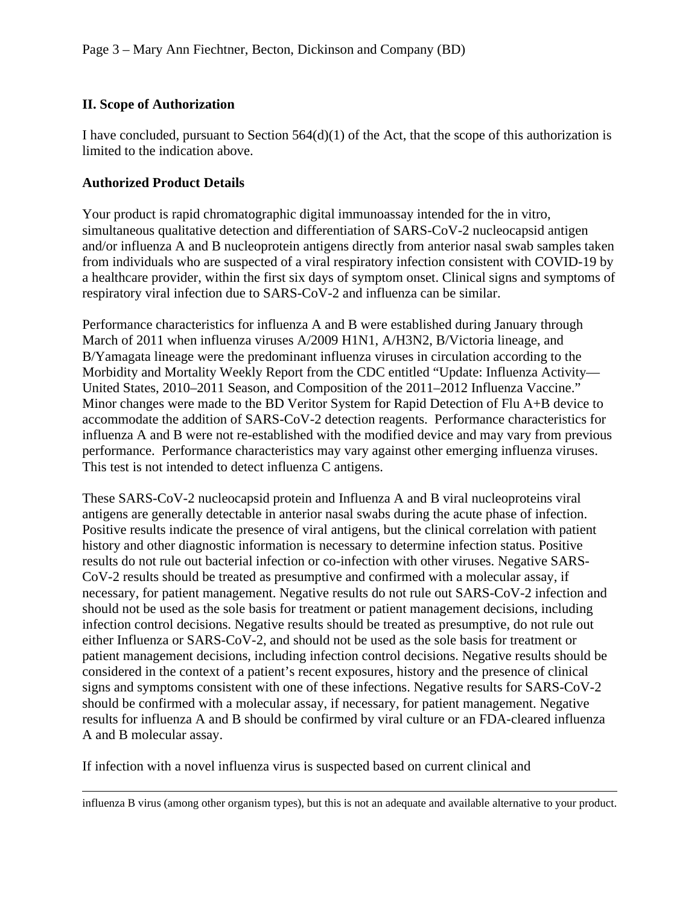### **II. Scope of Authorization**

I have concluded, pursuant to Section  $564(d)(1)$  of the Act, that the scope of this authorization is limited to the indication above.

#### **Authorized Product Details**

Your product is rapid chromatographic digital immunoassay intended for the in vitro, simultaneous qualitative detection and differentiation of SARS-CoV-2 nucleocapsid antigen and/or influenza A and B nucleoprotein antigens directly from anterior nasal swab samples taken from individuals who are suspected of a viral respiratory infection consistent with COVID-19 by a healthcare provider, within the first six days of symptom onset. Clinical signs and symptoms of respiratory viral infection due to SARS-CoV-2 and influenza can be similar.

Performance characteristics for influenza A and B were established during January through March of 2011 when influenza viruses A/2009 H1N1, A/H3N2, B/Victoria lineage, and B/Yamagata lineage were the predominant influenza viruses in circulation according to the Morbidity and Mortality Weekly Report from the CDC entitled "Update: Influenza Activity— United States, 2010–2011 Season, and Composition of the 2011–2012 Influenza Vaccine." Minor changes were made to the BD Veritor System for Rapid Detection of Flu A+B device to accommodate the addition of SARS-CoV-2 detection reagents. Performance characteristics for influenza A and B were not re-established with the modified device and may vary from previous performance. Performance characteristics may vary against other emerging influenza viruses. This test is not intended to detect influenza C antigens.

These SARS-CoV-2 nucleocapsid protein and Influenza A and B viral nucleoproteins viral antigens are generally detectable in anterior nasal swabs during the acute phase of infection. Positive results indicate the presence of viral antigens, but the clinical correlation with patient history and other diagnostic information is necessary to determine infection status. Positive results do not rule out bacterial infection or co-infection with other viruses. Negative SARS-CoV-2 results should be treated as presumptive and confirmed with a molecular assay, if necessary, for patient management. Negative results do not rule out SARS-CoV-2 infection and should not be used as the sole basis for treatment or patient management decisions, including infection control decisions. Negative results should be treated as presumptive, do not rule out either Influenza or SARS-CoV-2, and should not be used as the sole basis for treatment or patient management decisions, including infection control decisions. Negative results should be considered in the context of a patient's recent exposures, history and the presence of clinical signs and symptoms consistent with one of these infections. Negative results for SARS-CoV-2 should be confirmed with a molecular assay, if necessary, for patient management. Negative results for influenza A and B should be confirmed by viral culture or an FDA-cleared influenza A and B molecular assay.

If infection with a novel influenza virus is suspected based on current clinical and

influenza B virus (among other organism types), but this is not an adequate and available alternative to your product.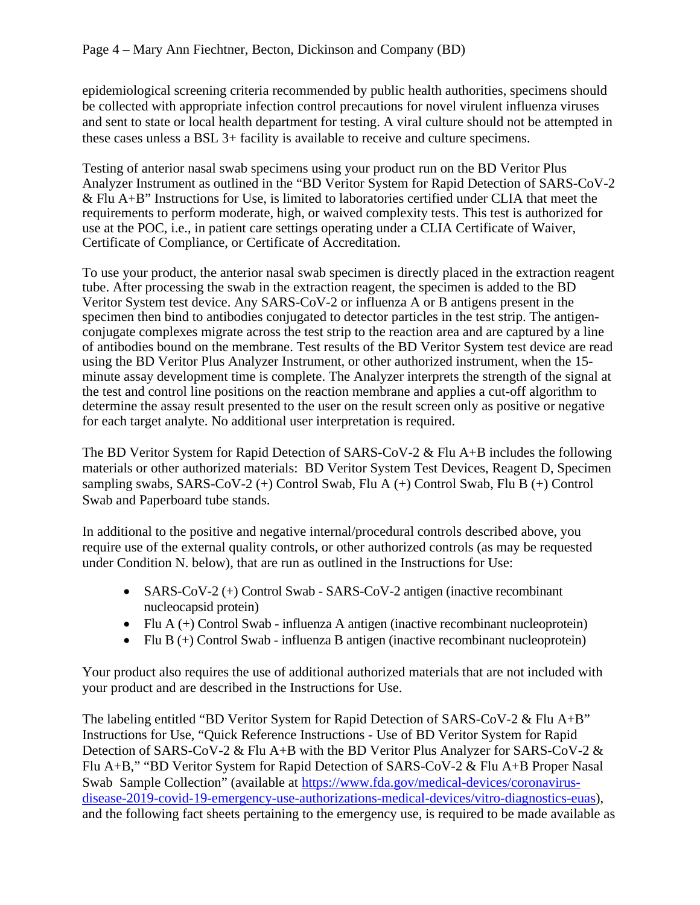epidemiological screening criteria recommended by public health authorities, specimens should be collected with appropriate infection control precautions for novel virulent influenza viruses and sent to state or local health department for testing. A viral culture should not be attempted in these cases unless a BSL 3+ facility is available to receive and culture specimens.

Testing of anterior nasal swab specimens using your product run on the BD Veritor Plus Analyzer Instrument as outlined in the "BD Veritor System for Rapid Detection of SARS-CoV-2 & Flu A+B" Instructions for Use, is limited to laboratories certified under CLIA that meet the requirements to perform moderate, high, or waived complexity tests. This test is authorized for use at the POC, i.e., in patient care settings operating under a CLIA Certificate of Waiver, Certificate of Compliance, or Certificate of Accreditation.

To use your product, the anterior nasal swab specimen is directly placed in the extraction reagent tube. After processing the swab in the extraction reagent, the specimen is added to the BD Veritor System test device. Any SARS-CoV-2 or influenza A or B antigens present in the specimen then bind to antibodies conjugated to detector particles in the test strip. The antigenconjugate complexes migrate across the test strip to the reaction area and are captured by a line of antibodies bound on the membrane. Test results of the BD Veritor System test device are read using the BD Veritor Plus Analyzer Instrument, or other authorized instrument, when the 15 minute assay development time is complete. The Analyzer interprets the strength of the signal at the test and control line positions on the reaction membrane and applies a cut-off algorithm to determine the assay result presented to the user on the result screen only as positive or negative for each target analyte. No additional user interpretation is required.

The BD Veritor System for Rapid Detection of SARS-CoV-2 & Flu A+B includes the following materials or other authorized materials: BD Veritor System Test Devices, Reagent D, Specimen sampling swabs, SARS-CoV-2 (+) Control Swab, Flu A (+) Control Swab, Flu B (+) Control Swab and Paperboard tube stands.

In additional to the positive and negative internal/procedural controls described above, you require use of the external quality controls, or other authorized controls (as may be requested under Condition N. below), that are run as outlined in the Instructions for Use:

- SARS-CoV-2 (+) Control Swab SARS-CoV-2 antigen (inactive recombinant nucleocapsid protein)
- Flu  $A (+)$  Control Swab influenza A antigen (inactive recombinant nucleoprotein)
- Flu B  $(+)$  Control Swab influenza B antigen (inactive recombinant nucleoprotein)

Your product also requires the use of additional authorized materials that are not included with your product and are described in the Instructions for Use.

The labeling entitled "BD Veritor System for Rapid Detection of SARS-CoV-2 & Flu A+B" Instructions for Use, "Quick Reference Instructions - Use of BD Veritor System for Rapid Detection of SARS-CoV-2 & Flu A+B with the BD Veritor Plus Analyzer for SARS-CoV-2 & Flu A+B," "BD Veritor System for Rapid Detection of SARS-CoV-2 & Flu A+B Proper Nasal Swab Sample Collection" (available at [https://www.fda.gov/medical-devices/coronavirus](https://www.fda.gov/medical-devices/coronavirus-disease-2019-covid-19-emergency-use-authorizations-medical-devices/vitro-diagnostics-euas)[disease-2019-covid-19-emergency-use-authorizations-medical-devices/vitro-diagnostics-euas\)](https://www.fda.gov/medical-devices/coronavirus-disease-2019-covid-19-emergency-use-authorizations-medical-devices/vitro-diagnostics-euas), and the following fact sheets pertaining to the emergency use, is required to be made available as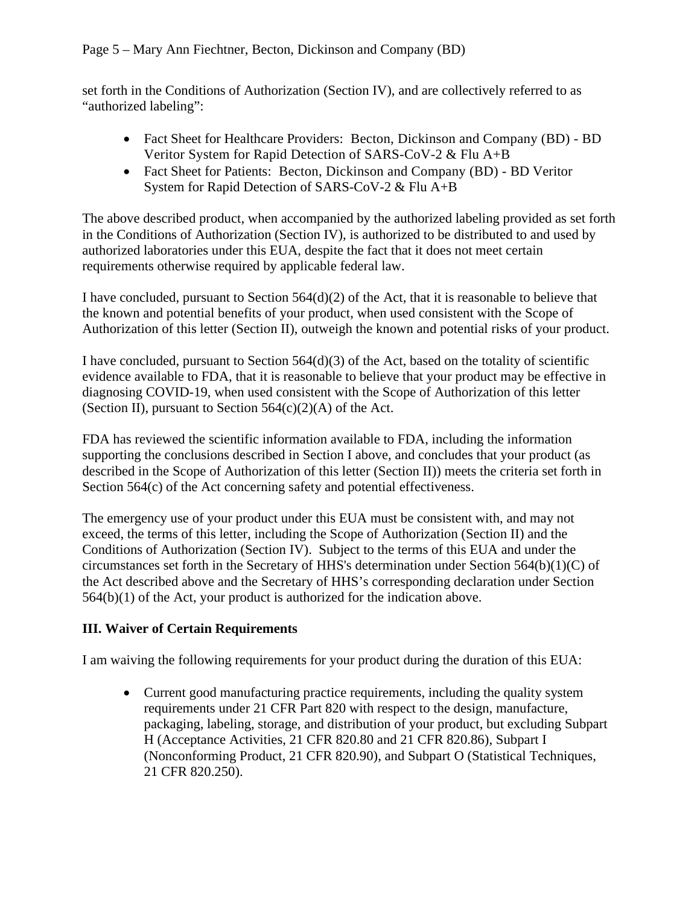set forth in the Conditions of Authorization (Section IV), and are collectively referred to as "authorized labeling":

- Fact Sheet for Healthcare Providers: Becton, Dickinson and Company (BD) BD Veritor System for Rapid Detection of SARS-CoV-2 & Flu A+B
- Fact Sheet for Patients: Becton, Dickinson and Company (BD) BD Veritor System for Rapid Detection of SARS-CoV-2 & Flu A+B

The above described product, when accompanied by the authorized labeling provided as set forth in the Conditions of Authorization (Section IV), is authorized to be distributed to and used by authorized laboratories under this EUA, despite the fact that it does not meet certain requirements otherwise required by applicable federal law.

I have concluded, pursuant to Section 564(d)(2) of the Act, that it is reasonable to believe that the known and potential benefits of your product, when used consistent with the Scope of Authorization of this letter (Section II), outweigh the known and potential risks of your product.

I have concluded, pursuant to Section 564(d)(3) of the Act, based on the totality of scientific evidence available to FDA, that it is reasonable to believe that your product may be effective in diagnosing COVID-19, when used consistent with the Scope of Authorization of this letter (Section II), pursuant to Section  $564(c)(2)(A)$  of the Act.

FDA has reviewed the scientific information available to FDA, including the information supporting the conclusions described in Section I above, and concludes that your product (as described in the Scope of Authorization of this letter (Section II)) meets the criteria set forth in Section 564(c) of the Act concerning safety and potential effectiveness.

The emergency use of your product under this EUA must be consistent with, and may not exceed, the terms of this letter, including the Scope of Authorization (Section II) and the Conditions of Authorization (Section IV). Subject to the terms of this EUA and under the circumstances set forth in the Secretary of HHS's determination under Section 564(b)(1)(C) of the Act described above and the Secretary of HHS's corresponding declaration under Section 564(b)(1) of the Act, your product is authorized for the indication above.

# **III. Waiver of Certain Requirements**

I am waiving the following requirements for your product during the duration of this EUA:

• Current good manufacturing practice requirements, including the quality system requirements under 21 CFR Part 820 with respect to the design, manufacture, packaging, labeling, storage, and distribution of your product, but excluding Subpart H (Acceptance Activities, 21 CFR 820.80 and 21 CFR 820.86), Subpart I (Nonconforming Product, 21 CFR 820.90), and Subpart O (Statistical Techniques, 21 CFR 820.250).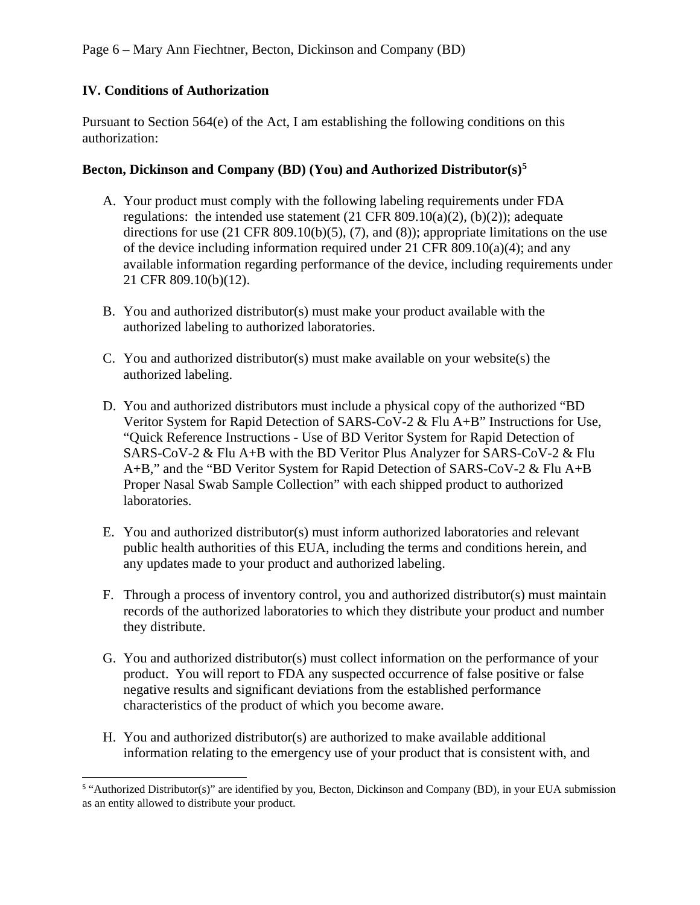## **IV. Conditions of Authorization**

Pursuant to Section 564(e) of the Act, I am establishing the following conditions on this authorization:

#### **Becton, Dickinson and Company (BD) (You) and Authorized Distributor(s)[5](#page-5-0)**

- A. Your product must comply with the following labeling requirements under FDA regulations: the intended use statement  $(21 \text{ CFR } 809.10(a)(2), (b)(2))$ ; adequate directions for use  $(21 \text{ CFR } 809.10(b)(5), (7), \text{ and } (8))$ ; appropriate limitations on the use of the device including information required under 21 CFR 809.10(a)(4); and any available information regarding performance of the device, including requirements under 21 CFR 809.10(b)(12).
- B. You and authorized distributor(s) must make your product available with the authorized labeling to authorized laboratories.
- C. You and authorized distributor(s) must make available on your website(s) the authorized labeling.
- D. You and authorized distributors must include a physical copy of the authorized "BD Veritor System for Rapid Detection of SARS-CoV-2 & Flu A+B" Instructions for Use, "Quick Reference Instructions - Use of BD Veritor System for Rapid Detection of SARS-CoV-2 & Flu A+B with the BD Veritor Plus Analyzer for SARS-CoV-2 & Flu A+B," and the "BD Veritor System for Rapid Detection of SARS-CoV-2 & Flu A+B Proper Nasal Swab Sample Collection" with each shipped product to authorized laboratories.
- E. You and authorized distributor(s) must inform authorized laboratories and relevant public health authorities of this EUA, including the terms and conditions herein, and any updates made to your product and authorized labeling.
- F. Through a process of inventory control, you and authorized distributor(s) must maintain records of the authorized laboratories to which they distribute your product and number they distribute.
- G. You and authorized distributor(s) must collect information on the performance of your product. You will report to FDA any suspected occurrence of false positive or false negative results and significant deviations from the established performance characteristics of the product of which you become aware.
- H. You and authorized distributor(s) are authorized to make available additional information relating to the emergency use of your product that is consistent with, and

<span id="page-5-0"></span><sup>5</sup> "Authorized Distributor(s)" are identified by you, Becton, Dickinson and Company (BD), in your EUA submission as an entity allowed to distribute your product.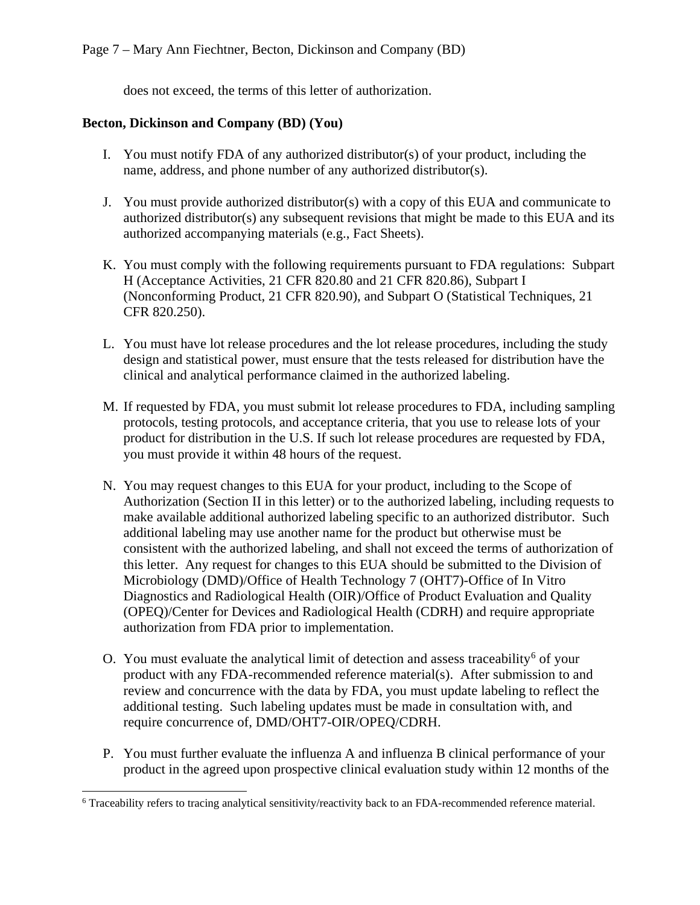does not exceed, the terms of this letter of authorization.

#### **Becton, Dickinson and Company (BD) (You)**

- I. You must notify FDA of any authorized distributor(s) of your product, including the name, address, and phone number of any authorized distributor(s).
- J. You must provide authorized distributor(s) with a copy of this EUA and communicate to authorized distributor(s) any subsequent revisions that might be made to this EUA and its authorized accompanying materials (e.g., Fact Sheets).
- K. You must comply with the following requirements pursuant to FDA regulations: Subpart H (Acceptance Activities, 21 CFR 820.80 and 21 CFR 820.86), Subpart I (Nonconforming Product, 21 CFR 820.90), and Subpart O (Statistical Techniques, 21 CFR 820.250).
- L. You must have lot release procedures and the lot release procedures, including the study design and statistical power, must ensure that the tests released for distribution have the clinical and analytical performance claimed in the authorized labeling.
- M. If requested by FDA, you must submit lot release procedures to FDA, including sampling protocols, testing protocols, and acceptance criteria, that you use to release lots of your product for distribution in the U.S. If such lot release procedures are requested by FDA, you must provide it within 48 hours of the request.
- N. You may request changes to this EUA for your product, including to the Scope of Authorization (Section II in this letter) or to the authorized labeling, including requests to make available additional authorized labeling specific to an authorized distributor. Such additional labeling may use another name for the product but otherwise must be consistent with the authorized labeling, and shall not exceed the terms of authorization of this letter. Any request for changes to this EUA should be submitted to the Division of Microbiology (DMD)/Office of Health Technology 7 (OHT7)-Office of In Vitro Diagnostics and Radiological Health (OIR)/Office of Product Evaluation and Quality (OPEQ)/Center for Devices and Radiological Health (CDRH) and require appropriate authorization from FDA prior to implementation.
- O. You must evaluate the analytical limit of detection and assess traceability<sup>[6](#page-6-0)</sup> of your product with any FDA-recommended reference material(s). After submission to and review and concurrence with the data by FDA, you must update labeling to reflect the additional testing. Such labeling updates must be made in consultation with, and require concurrence of, DMD/OHT7-OIR/OPEQ/CDRH.
- P. You must further evaluate the influenza A and influenza B clinical performance of your product in the agreed upon prospective clinical evaluation study within 12 months of the

<span id="page-6-0"></span><sup>6</sup> Traceability refers to tracing analytical sensitivity/reactivity back to an FDA-recommended reference material.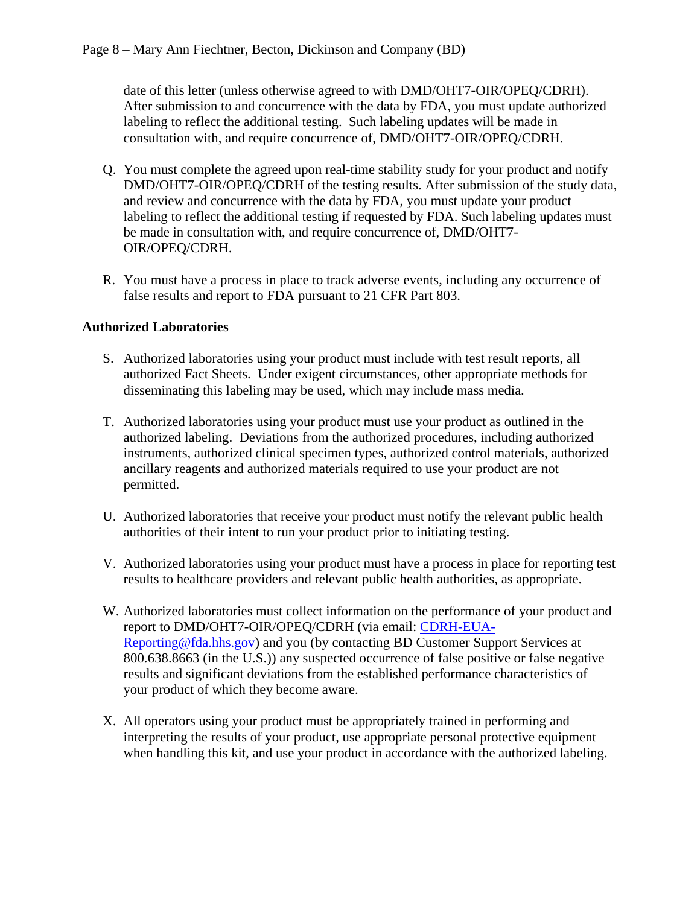date of this letter (unless otherwise agreed to with DMD/OHT7-OIR/OPEQ/CDRH). After submission to and concurrence with the data by FDA, you must update authorized labeling to reflect the additional testing. Such labeling updates will be made in consultation with, and require concurrence of, DMD/OHT7-OIR/OPEQ/CDRH.

- Q. You must complete the agreed upon real-time stability study for your product and notify DMD/OHT7-OIR/OPEQ/CDRH of the testing results. After submission of the study data, and review and concurrence with the data by FDA, you must update your product labeling to reflect the additional testing if requested by FDA. Such labeling updates must be made in consultation with, and require concurrence of, DMD/OHT7- OIR/OPEQ/CDRH.
- R. You must have a process in place to track adverse events, including any occurrence of false results and report to FDA pursuant to 21 CFR Part 803.

#### **Authorized Laboratories**

- S. Authorized laboratories using your product must include with test result reports, all authorized Fact Sheets. Under exigent circumstances, other appropriate methods for disseminating this labeling may be used, which may include mass media.
- T. Authorized laboratories using your product must use your product as outlined in the authorized labeling. Deviations from the authorized procedures, including authorized instruments, authorized clinical specimen types, authorized control materials, authorized ancillary reagents and authorized materials required to use your product are not permitted.
- U. Authorized laboratories that receive your product must notify the relevant public health authorities of their intent to run your product prior to initiating testing.
- V. Authorized laboratories using your product must have a process in place for reporting test results to healthcare providers and relevant public health authorities, as appropriate.
- W. Authorized laboratories must collect information on the performance of your product and report to DMD/OHT7-OIR/OPEQ/CDRH (via email: [CDRH-EUA-](mailto:CDRH-EUA-Reporting@fda.hhs.gov)[Reporting@fda.hhs.gov\)](mailto:CDRH-EUA-Reporting@fda.hhs.gov) and you (by contacting BD Customer Support Services at 800.638.8663 (in the U.S.)) any suspected occurrence of false positive or false negative results and significant deviations from the established performance characteristics of your product of which they become aware.
- X. All operators using your product must be appropriately trained in performing and interpreting the results of your product, use appropriate personal protective equipment when handling this kit, and use your product in accordance with the authorized labeling.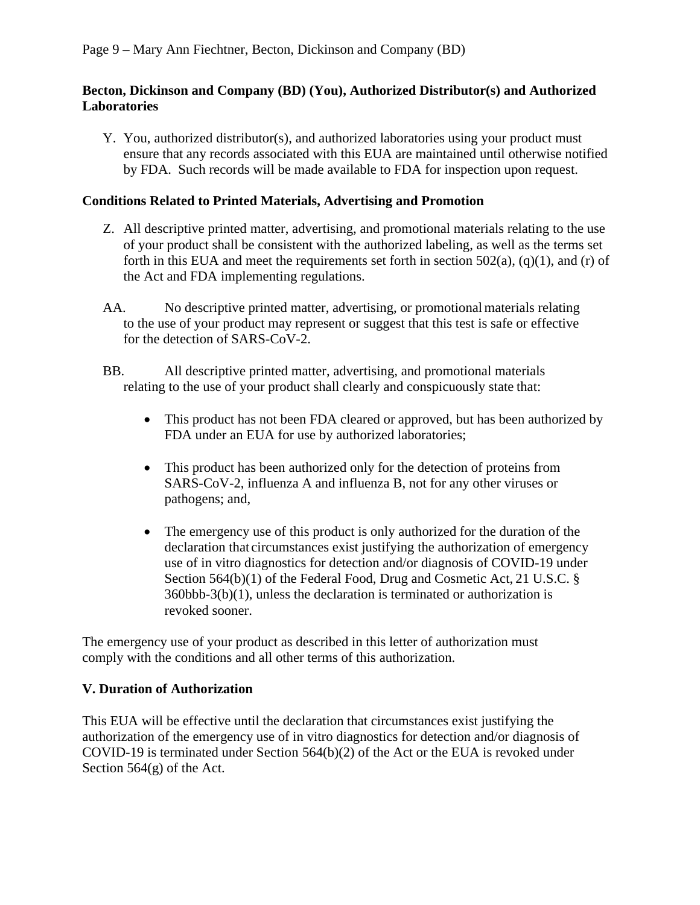#### **Becton, Dickinson and Company (BD) (You), Authorized Distributor(s) and Authorized Laboratories**

Y. You, authorized distributor(s), and authorized laboratories using your product must ensure that any records associated with this EUA are maintained until otherwise notified by FDA. Such records will be made available to FDA for inspection upon request.

#### **Conditions Related to Printed Materials, Advertising and Promotion**

- Z. All descriptive printed matter, advertising, and promotional materials relating to the use of your product shall be consistent with the authorized labeling, as well as the terms set forth in this EUA and meet the requirements set forth in section  $502(a)$ ,  $(q)(1)$ , and  $(r)$  of the Act and FDA implementing regulations.
- AA. No descriptive printed matter, advertising, or promotional materials relating to the use of your product may represent or suggest that this test is safe or effective for the detection of SARS-CoV-2.
- BB. All descriptive printed matter, advertising, and promotional materials relating to the use of your product shall clearly and conspicuously state that:
	- This product has not been FDA cleared or approved, but has been authorized by FDA under an EUA for use by authorized laboratories;
	- This product has been authorized only for the detection of proteins from SARS-CoV-2, influenza A and influenza B, not for any other viruses or pathogens; and,
	- The emergency use of this product is only authorized for the duration of the declaration that circumstances exist justifying the authorization of emergency use of in vitro diagnostics for detection and/or diagnosis of COVID-19 under Section 564(b)(1) of the Federal Food, Drug and Cosmetic Act, 21 U.S.C. § 360bbb-3(b)(1), unless the declaration is terminated or authorization is revoked sooner.

The emergency use of your product as described in this letter of authorization must comply with the conditions and all other terms of this authorization.

#### **V. Duration of Authorization**

This EUA will be effective until the declaration that circumstances exist justifying the authorization of the emergency use of in vitro diagnostics for detection and/or diagnosis of COVID-19 is terminated under Section 564(b)(2) of the Act or the EUA is revoked under Section 564(g) of the Act.